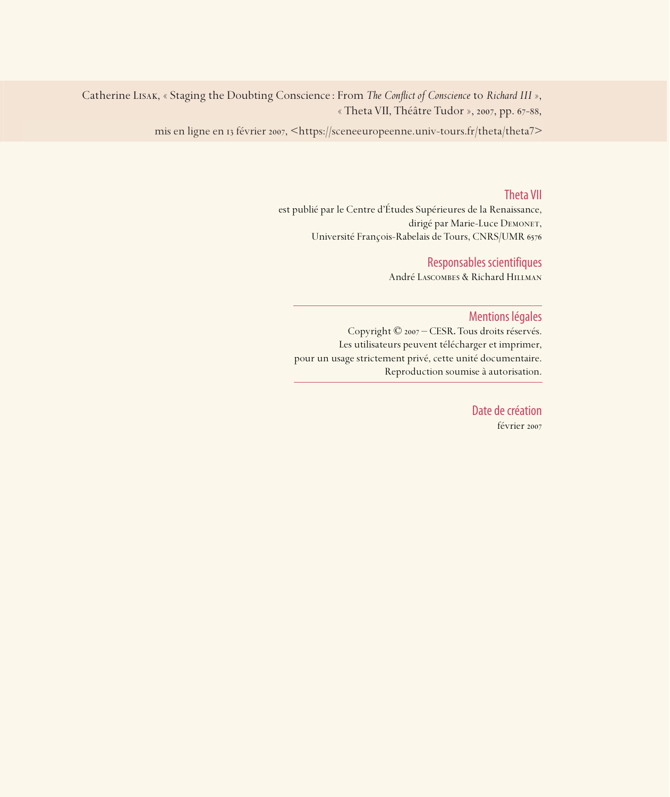Catherine LISAK, « Staging the Doubting Conscience : From *The Conflict of Conscience* to *Richard III* », « Theta VII, Théâtre Tudor », 2007, pp. 67-88,

mis en ligne en 13 février 2007, <https://sceneeuropeenne.univ-tours.fr/theta/theta7>

#### Theta VII

est publié par le Centre d'Études Supérieures de la Renaissance, dirigé par Marie-Luce DEMONET, Université François-Rabelais de Tours, CNRS/UMR

### Responsables scientifiques

André Lascombes & Richard Hillman

#### Mentions légales

Copyright © 2007 – CESR. Tous droits réservés. Les utilisateurs peuvent télécharger et imprimer, pour un usage strictement privé, cette unité documentaire. Reproduction soumise à autorisation.

> Date de création février 2007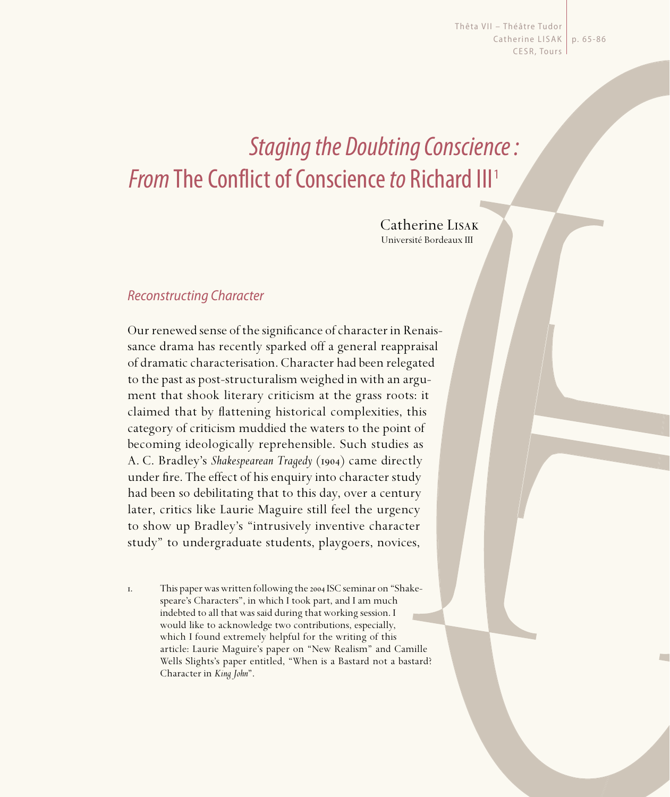Thêta VII - Théâtre Tudor Catherine LISAK | p. 65-86 CESR, Tours

# Staging the Doubting Conscience : **From The Conflict of Conscience to Richard III**<sup>1</sup>

Catherine Lisak Université Bordeaux III

## Reconstructing Character

Our renewed sense of the significance of character in Renaissance drama has recently sparked off a general reappraisal of dramatic characterisation. Character had been relegated to the past as post-structuralism weighed in with an argument that shook literary criticism at the grass roots: it claimed that by flattening historical complexities, this category of criticism muddied the waters to the point of becoming ideologically reprehensible. Such studies as A. C. Bradley's *Shakespearean Tragedy* (1904) came directly under fire. The effect of his enquiry into character study had been so debilitating that to this day, over a century later, critics like Laurie Maguire still feel the urgency to show up Bradley's "intrusively inventive character study" to undergraduate students, playgoers, novices,

I. This paper was written following the 2004 ISC seminar on "Shakespeare's Characters", in which I took part, and I am much indebted to all that was said during that working session. I would like to acknowledge two contributions, especially, which I found extremely helpful for the writing of this article: Laurie Maguire's paper on "New Realism" and Camille Wells Slights's paper entitled, "When is a Bastard not a bastard? Character in *King John*".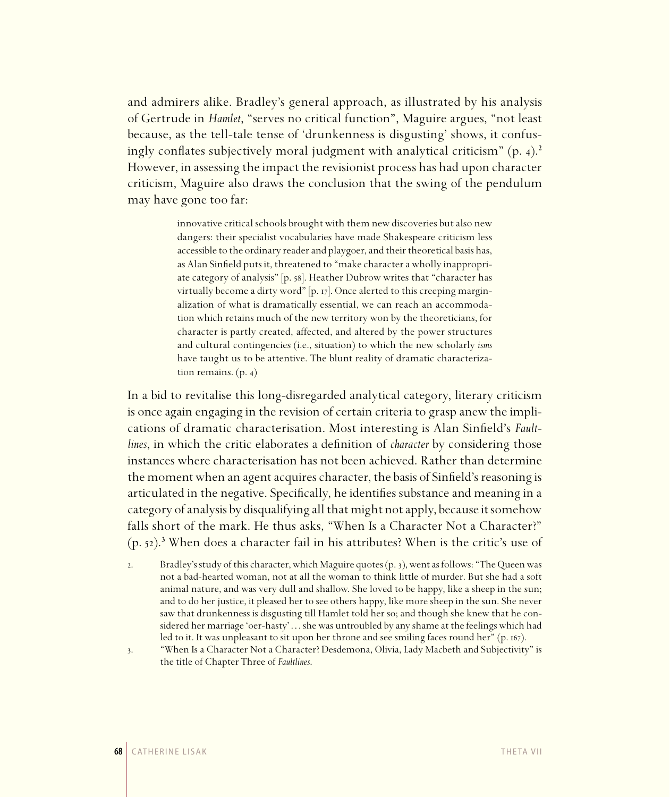and admirers alike. Bradley's general approach, as illustrated by his analysis of Gertrude in *Hamlet*, "serves no critical function", Maguire argues, "not least because, as the tell-tale tense of 'drunkenness is disgusting' shows, it confusingly conflates subjectively moral judgment with analytical criticism"  $(p, 4)$ .<sup>2</sup> However, in assessing the impact the revisionist process has had upon character criticism, Maguire also draws the conclusion that the swing of the pendulum may have gone too far:

> innovative critical schools brought with them new discoveries but also new dangers: their specialist vocabularies have made Shakespeare criticism less accessible to the ordinary reader and playgoer, and their theoretical basis has, as Alan Sinfield puts it, threatened to "make character a wholly inappropriate category of analysis" [p. 58]. Heather Dubrow writes that "character has virtually become a dirty word" [p. 17]. Once alerted to this creeping marginalization of what is dramatically essential, we can reach an accommodation which retains much of the new territory won by the theoreticians, for character is partly created, affected, and altered by the power structures and cultural contingencies (i.e., situation) to which the new scholarly *isms* have taught us to be attentive. The blunt reality of dramatic characterization remains.  $(p. 4)$

In a bid to revitalise this long-disregarded analytical category, literary criticism is once again engaging in the revision of certain criteria to grasp anew the implications of dramatic characterisation. Most interesting is Alan Sinfield's *Faultlines*, in which the critic elaborates a definition of *character* by considering those instances where characterisation has not been achieved. Rather than determine the moment when an agent acquires character, the basis of Sinfield's reasoning is articulated in the negative. Specifically, he identifies substance and meaning in a category of analysis by disqualifying all that might not apply, because it somehow falls short of the mark. He thus asks, "When Is a Character Not a Character?"  $(p. 52).$ <sup>3</sup> When does a character fail in his attributes? When is the critic's use of

- . Bradley's study of this character, which Maguire quotes (p. ), went as follows: "The Queen was not a bad-hearted woman, not at all the woman to think little of murder. But she had a soft animal nature, and was very dull and shallow. She loved to be happy, like a sheep in the sun; and to do her justice, it pleased her to see others happy, like more sheep in the sun. She never saw that drunkenness is disgusting till Hamlet told her so; and though she knew that he considered her marriage 'oer-hasty' . . . she was untroubled by any shame at the feelings which had led to it. It was unpleasant to sit upon her throne and see smiling faces round her" (p. 167).
- 

. "When Is a Character Not a Character? Desdemona, Olivia, Lady Macbeth and Subjectivity" is the title of Chapter Three of *Faultlines*.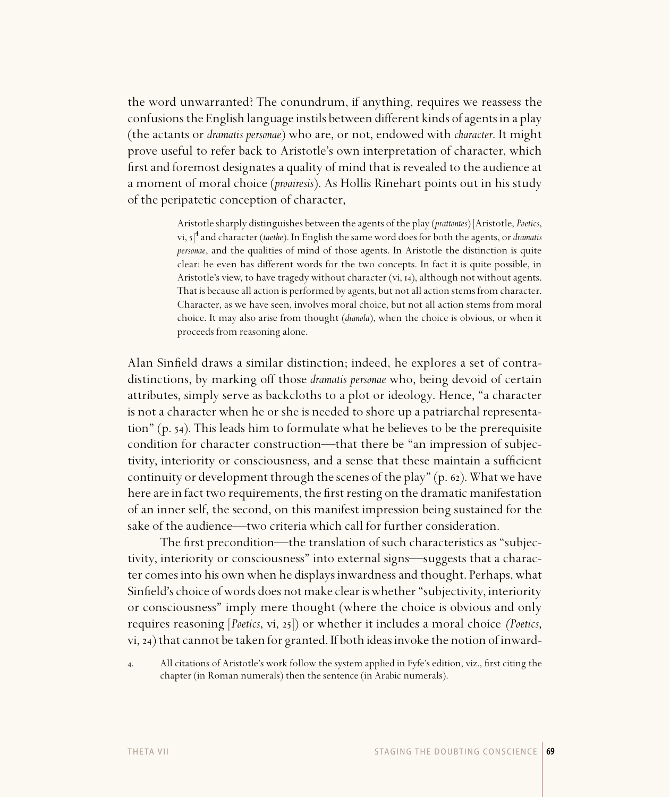the word unwarranted? The conundrum, if anything, requires we reassess the confusions the English language instils between different kinds of agents in a play (the actants or *dramatis personae*) who are, or not, endowed with *character*. It might prove useful to refer back to Aristotle's own interpretation of character, which first and foremost designates a quality of mind that is revealed to the audience at a moment of moral choice (*proairesis*). As Hollis Rinehart points out in his study of the peripatetic conception of character,

> Aristotle sharply distinguishes between the agents of the play (*prattontes*) [Aristotle, *Poetics*, vi,  $5$ <sup>4</sup> and character (*taethe*). In English the same word does for both the agents, or *dramatis personae*, and the qualities of mind of those agents. In Aristotle the distinction is quite clear: he even has different words for the two concepts. In fact it is quite possible, in Aristotle's view, to have tragedy without character (vi, 14), although not without agents. That is because all action is performed by agents, but not all action stems from character. Character, as we have seen, involves moral choice, but not all action stems from moral choice. It may also arise from thought (*dianola*), when the choice is obvious, or when it proceeds from reasoning alone.

Alan Sinfield draws a similar distinction; indeed, he explores a set of contradistinctions, by marking off those *dramatis personae* who, being devoid of certain attributes, simply serve as backcloths to a plot or ideology. Hence, "a character is not a character when he or she is needed to shore up a patriarchal representation"  $(p. 54)$ . This leads him to formulate what he believes to be the prerequisite condition for character construction—that there be "an impression of subjectivity, interiority or consciousness, and a sense that these maintain a sufficient continuity or development through the scenes of the play" (p.  $62$ ). What we have here are in fact two requirements, the first resting on the dramatic manifestation of an inner self, the second, on this manifest impression being sustained for the sake of the audience—two criteria which call for further consideration.

The first precondition—the translation of such characteristics as "subjectivity, interiority or consciousness" into external signs—suggests that a character comes into his own when he displays inwardness and thought. Perhaps, what Sinfield's choice of words does not make clear is whether "subjectivity, interiority or consciousness" imply mere thought (where the choice is obvious and only requires reasoning [*Poetics*, vi, 25]) or whether it includes a moral choice *(Poetics*, vi, 24) that cannot be taken for granted. If both ideas invoke the notion of inward-

4. All citations of Aristotle's work follow the system applied in Fyfe's edition, viz., first citing the chapter (in Roman numerals) then the sentence (in Arabic numerals).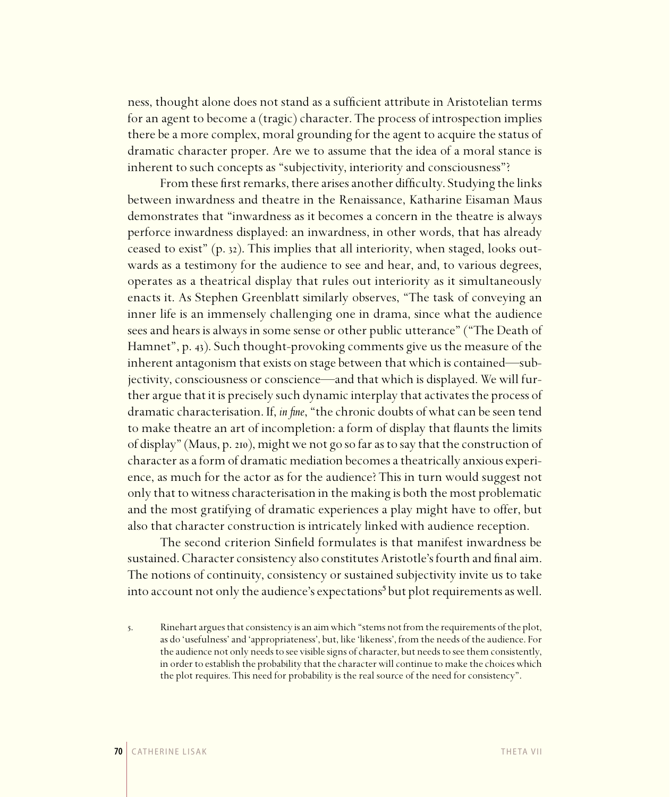ness, thought alone does not stand as a sufficient attribute in Aristotelian terms for an agent to become a (tragic) character. The process of introspection implies there be a more complex, moral grounding for the agent to acquire the status of dramatic character proper. Are we to assume that the idea of a moral stance is inherent to such concepts as "subjectivity, interiority and consciousness"?

From these first remarks, there arises another difficulty. Studying the links between inwardness and theatre in the Renaissance, Katharine Eisaman Maus demonstrates that "inwardness as it becomes a concern in the theatre is always perforce inwardness displayed: an inwardness, in other words, that has already ceased to exist" (p. 32). This implies that all interiority, when staged, looks outwards as a testimony for the audience to see and hear, and, to various degrees, operates as a theatrical display that rules out interiority as it simultaneously enacts it. As Stephen Greenblatt similarly observes, "The task of conveying an inner life is an immensely challenging one in drama, since what the audience sees and hears is always in some sense or other public utterance" ("The Death of Hamnet", p. 43). Such thought-provoking comments give us the measure of the inherent antagonism that exists on stage between that which is contained—subjectivity, consciousness or conscience—and that which is displayed. We will further argue that it is precisely such dynamic interplay that activates the process of dramatic characterisation. If, *in fine*, "the chronic doubts of what can be seen tend to make theatre an art of incompletion: a form of display that flaunts the limits of display" (Maus, p. 210), might we not go so far as to say that the construction of character as a form of dramatic mediation becomes a theatrically anxious experience, as much for the actor as for the audience? This in turn would suggest not only that to witness characterisation in the making is both the most problematic and the most gratifying of dramatic experiences a play might have to offer, but also that character construction is intricately linked with audience reception.

The second criterion Sinfield formulates is that manifest inwardness be sustained. Character consistency also constitutes Aristotle's fourth and final aim. The notions of continuity, consistency or sustained subjectivity invite us to take into account not only the audience's expectations<sup>5</sup> but plot requirements as well.

. Rinehart argues that consistency is an aim which "stems not from the requirements of the plot, as do 'usefulness' and 'appropriateness', but, like 'likeness', from the needs of the audience. For the audience not only needs to see visible signs of character, but needs to see them consistently, in order to establish the probability that the character will continue to make the choices which the plot requires. This need for probability is the real source of the need for consistency".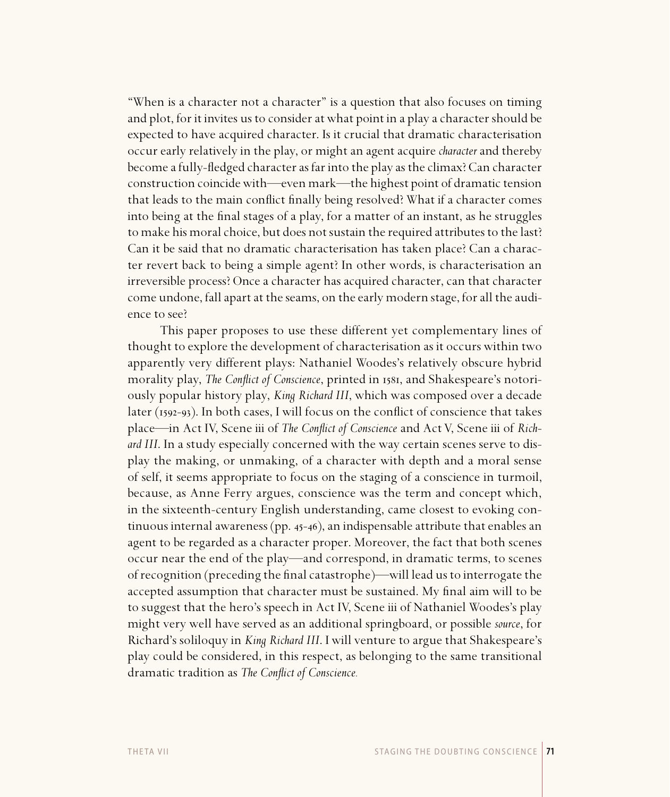"When is a character not a character" is a question that also focuses on timing and plot, for it invites us to consider at what point in a play a character should be expected to have acquired character. Is it crucial that dramatic characterisation occur early relatively in the play, or might an agent acquire *character* and thereby become a fully-fledged character as far into the play as the climax? Can character construction coincide with—even mark—the highest point of dramatic tension that leads to the main conflict finally being resolved? What if a character comes into being at the final stages of a play, for a matter of an instant, as he struggles to make his moral choice, but does not sustain the required attributes to the last? Can it be said that no dramatic characterisation has taken place? Can a character revert back to being a simple agent? In other words, is characterisation an irreversible process? Once a character has acquired character, can that character come undone, fall apart at the seams, on the early modern stage, for all the audience to see?

This paper proposes to use these different yet complementary lines of thought to explore the development of characterisation as it occurs within two apparently very different plays: Nathaniel Woodes's relatively obscure hybrid morality play, *The Conflict of Conscience*, printed in 1581, and Shakespeare's notoriously popular history play, *King Richard III*, which was composed over a decade later ( $1592-93$ ). In both cases, I will focus on the conflict of conscience that takes place—in Act IV, Scene iii of *The Conflict of Conscience* and Act V, Scene iii of *Richard III*. In a study especially concerned with the way certain scenes serve to display the making, or unmaking, of a character with depth and a moral sense of self, it seems appropriate to focus on the staging of a conscience in turmoil, because, as Anne Ferry argues, conscience was the term and concept which, in the sixteenth-century English understanding, came closest to evoking continuous internal awareness (pp.  $45-46$ ), an indispensable attribute that enables an agent to be regarded as a character proper. Moreover, the fact that both scenes occur near the end of the play—and correspond, in dramatic terms, to scenes of recognition (preceding the final catastrophe)—will lead us to interrogate the accepted assumption that character must be sustained. My final aim will to be to suggest that the hero's speech in Act IV, Scene iii of Nathaniel Woodes's play might very well have served as an additional springboard, or possible *source*, for Richard's soliloquy in *King Richard III*. I will venture to argue that Shakespeare's play could be considered, in this respect, as belonging to the same transitional dramatic tradition as *The Conflict of Conscience*.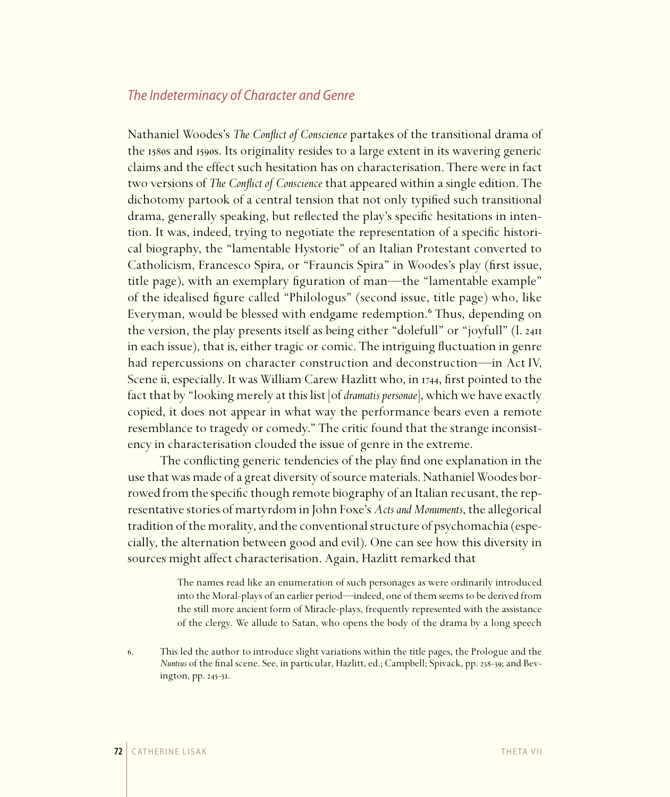# The Indeterminacy of Character and Genre

Nathaniel Woodes's *The Conflict of Conscience* partakes of the transitional drama of the 1580s and 1590s. Its originality resides to a large extent in its wavering generic claims and the effect such hesitation has on characterisation. There were in fact two versions of *The Conflict of Conscience* that appeared within a single edition. The dichotomy partook of a central tension that not only typified such transitional drama, generally speaking, but reflected the play's specific hesitations in intention. It was, indeed, trying to negotiate the representation of a specific historical biography, the "lamentable Hystorie" of an Italian Protestant converted to Catholicism, Francesco Spira, or "Frauncis Spira" in Woodes's play (first issue, title page), with an exemplary figuration of man—the "lamentable example" of the idealised figure called "Philologus" (second issue, title page) who, like Everyman, would be blessed with endgame redemption.<sup>6</sup> Thus, depending on the version, the play presents itself as being either "dolefull" or "joyfull" (l. in each issue), that is, either tragic or comic. The intriguing fluctuation in genre had repercussions on character construction and deconstruction—in Act IV, Scene ii, especially. It was William Carew Hazlitt who, in 1744, first pointed to the fact that by "looking merely at this list [of *dramatis personae*], which we have exactly copied, it does not appear in what way the performance bears even a remote resemblance to tragedy or comedy." The critic found that the strange inconsistency in characterisation clouded the issue of genre in the extreme.

The conflicting generic tendencies of the play find one explanation in the use that was made of a great diversity of source materials. Nathaniel Woodes borrowed from the specific though remote biography of an Italian recusant, the representative stories of martyrdom in John Foxe's *Acts and Monuments*, the allegorical tradition of the morality, and the conventional structure of psychomachia (especially, the alternation between good and evil). One can see how this diversity in sources might affect characterisation. Again, Hazlitt remarked that

> The names read like an enumeration of such personages as were ordinarily introduced into the Moral-plays of an earlier period—indeed, one of them seems to be derived from the still more ancient form of Miracle-plays, frequently represented with the assistance of the clergy. We allude to Satan, who opens the body of the drama by a long speech

. This led the author to introduce slight variations within the title pages, the Prologue and the *Nuntius* of the final scene. See, in particular, Hazlitt, ed.; Campbell; Spivack, pp. 238-39; and Bevington, pp. 245-51.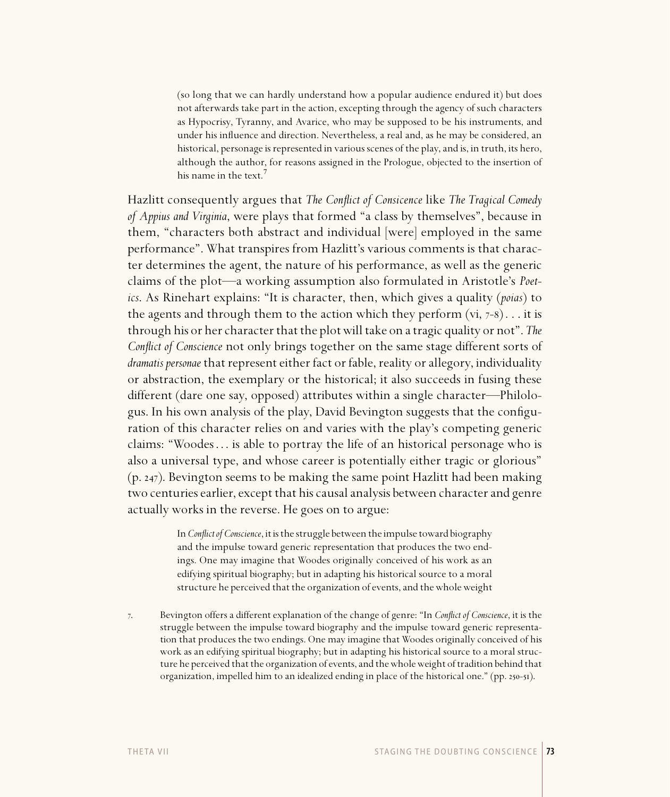(so long that we can hardly understand how a popular audience endured it) but does not afterwards take part in the action, excepting through the agency of such characters as Hypocrisy, Tyranny, and Avarice, who may be supposed to be his instruments, and under his influence and direction. Nevertheless, a real and, as he may be considered, an historical, personage is represented in various scenes of the play, and is, in truth, its hero, although the author, for reasons assigned in the Prologue, objected to the insertion of his name in the text.

Hazlitt consequently argues that *The Conflict of Consicence* like *The Tragical Comedy of Appius and Virginia*, were plays that formed "a class by themselves", because in them, "characters both abstract and individual [were] employed in the same performance". What transpires from Hazlitt's various comments is that character determines the agent, the nature of his performance, as well as the generic claims of the plot—a working assumption also formulated in Aristotle's *Poetics*. As Rinehart explains: "It is character, then, which gives a quality (*poias*) to the agents and through them to the action which they perform  $(vi, 7-8)$ ... it is through his or her character that the plot will take on a tragic quality or not". *The Conflict of Conscience* not only brings together on the same stage different sorts of *dramatis personae* that represent either fact or fable, reality or allegory, individuality or abstraction, the exemplary or the historical; it also succeeds in fusing these different (dare one say, opposed) attributes within a single character—Philologus. In his own analysis of the play, David Bevington suggests that the configuration of this character relies on and varies with the play's competing generic claims: "Woodes . . . is able to portray the life of an historical personage who is also a universal type, and whose career is potentially either tragic or glorious"  $(p. 247)$ . Bevington seems to be making the same point Hazlitt had been making two centuries earlier, except that his causal analysis between character and genre actually works in the reverse. He goes on to argue:

> In *Conflict of Conscience*, it is the struggle between the impulse toward biography and the impulse toward generic representation that produces the two endings. One may imagine that Woodes originally conceived of his work as an edifying spiritual biography; but in adapting his historical source to a moral structure he perceived that the organization of events, and the whole weight

. Bevington offers a different explanation of the change of genre: "In *Confl ict of Conscience*, it is the struggle between the impulse toward biography and the impulse toward generic representation that produces the two endings. One may imagine that Woodes originally conceived of his work as an edifying spiritual biography; but in adapting his historical source to a moral structure he perceived that the organization of events, and the whole weight of tradition behind that organization, impelled him to an idealized ending in place of the historical one."  $(pp. 250-51)$ .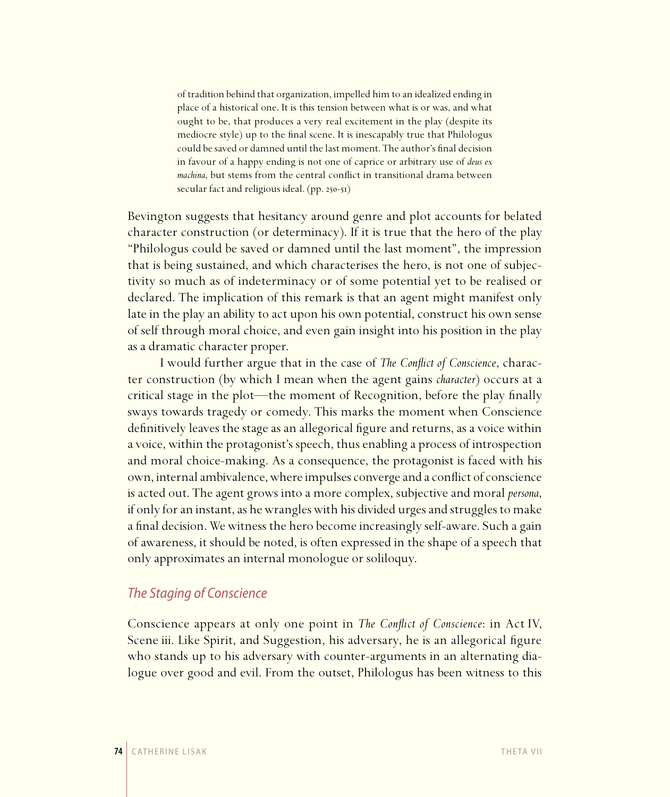of tradition behind that organization, impelled him to an idealized ending in place of a historical one. It is this tension between what is or was, and what ought to be, that produces a very real excitement in the play (despite its mediocre style) up to the final scene. It is inescapably true that Philologus could be saved or damned until the last moment. The author's final decision in favour of a happy ending is not one of caprice or arbitrary use of *deus ex machina*, but stems from the central conflict in transitional drama between secular fact and religious ideal.  $(pp. 250-51)$ 

Bevington suggests that hesitancy around genre and plot accounts for belated character construction (or determinacy). If it is true that the hero of the play "Philologus could be saved or damned until the last moment", the impression that is being sustained, and which characterises the hero, is not one of subjectivity so much as of indeterminacy or of some potential yet to be realised or declared. The implication of this remark is that an agent might manifest only late in the play an ability to act upon his own potential, construct his own sense of self through moral choice, and even gain insight into his position in the play as a dramatic character proper.

I would further argue that in the case of *The Conflict of Conscience*, character construction (by which I mean when the agent gains *character*) occurs at a critical stage in the plot—the moment of Recognition, before the play finally sways towards tragedy or comedy. This marks the moment when Conscience definitively leaves the stage as an allegorical figure and returns, as a voice within a voice, within the protagonist's speech, thus enabling a process of introspection and moral choice-making. As a consequence, the protagonist is faced with his own, internal ambivalence, where impulses converge and a conflict of conscience is acted out. The agent grows into a more complex, subjective and moral *persona*, if only for an instant, as he wrangles with his divided urges and struggles to make a final decision. We witness the hero become increasingly self-aware. Such a gain of awareness, it should be noted, is often expressed in the shape of a speech that only approximates an internal monologue or soliloquy.

# The Staging of Conscience

Conscience appears at only one point in *The Conflict of Conscience*: in Act IV, Scene iii. Like Spirit, and Suggestion, his adversary, he is an allegorical figure who stands up to his adversary with counter-arguments in an alternating dialogue over good and evil. From the outset, Philologus has been witness to this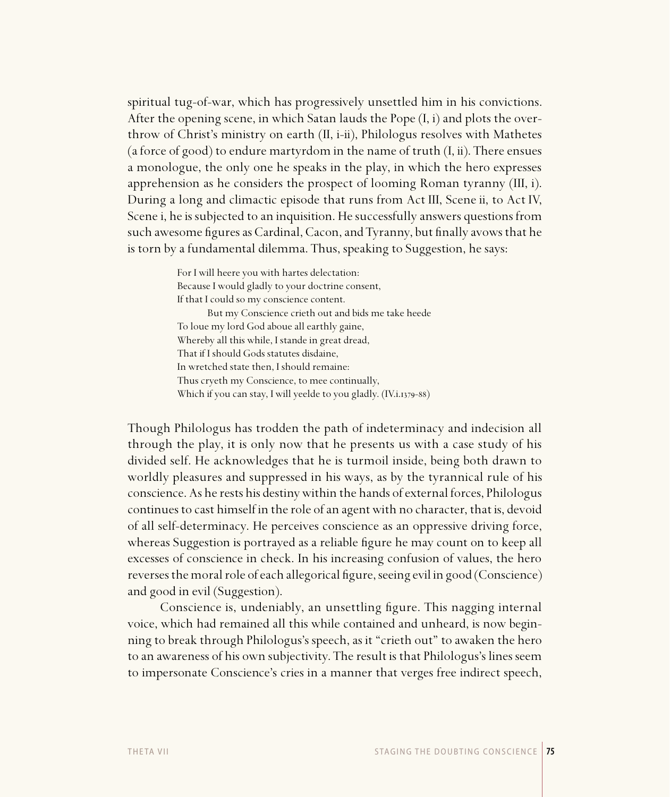spiritual tug-of-war, which has progressively unsettled him in his convictions. After the opening scene, in which Satan lauds the Pope (I, i) and plots the overthrow of Christ's ministry on earth (II, i-ii), Philologus resolves with Mathetes (a force of good) to endure martyrdom in the name of truth (I, ii). There ensues a monologue, the only one he speaks in the play, in which the hero expresses apprehension as he considers the prospect of looming Roman tyranny (III, i). During a long and climactic episode that runs from Act III, Scene ii, to Act IV, Scene i, he is subjected to an inquisition. He successfully answers questions from such awesome figures as Cardinal, Cacon, and Tyranny, but finally avows that he is torn by a fundamental dilemma. Thus, speaking to Suggestion, he says:

> For I will heere you with hartes delectation: Because I would gladly to your doctrine consent, If that I could so my conscience content. But my Conscience crieth out and bids me take heede To loue my lord God aboue all earthly gaine, Whereby all this while, I stande in great dread, That if I should Gods statutes disdaine, In wretched state then, I should remaine: Thus cryeth my Conscience, to mee continually, Which if you can stay, I will yeelde to you gladly. (IV.i.1379-88)

Though Philologus has trodden the path of indeterminacy and indecision all through the play, it is only now that he presents us with a case study of his divided self. He acknowledges that he is turmoil inside, being both drawn to worldly pleasures and suppressed in his ways, as by the tyrannical rule of his conscience. As he rests his destiny within the hands of external forces, Philologus continues to cast himself in the role of an agent with no character, that is, devoid of all self-determinacy. He perceives conscience as an oppressive driving force, whereas Suggestion is portrayed as a reliable figure he may count on to keep all excesses of conscience in check. In his increasing confusion of values, the hero reverses the moral role of each allegorical figure, seeing evil in good (Conscience) and good in evil (Suggestion).

Conscience is, undeniably, an unsettling figure. This nagging internal voice, which had remained all this while contained and unheard, is now beginning to break through Philologus's speech, as it "crieth out" to awaken the hero to an awareness of his own subjectivity. The result is that Philologus's lines seem to impersonate Conscience's cries in a manner that verges free indirect speech,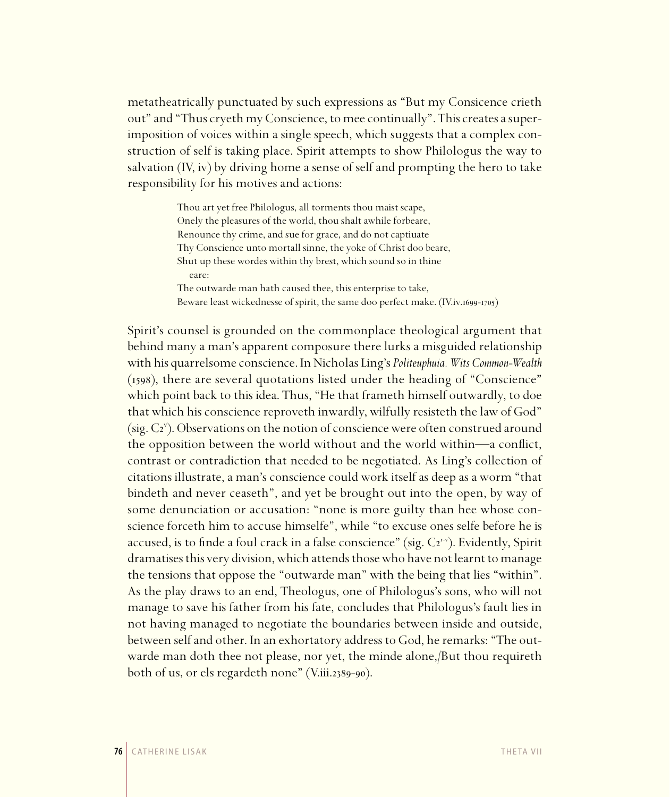metatheatrically punctuated by such expressions as "But my Consicence crieth out" and "Thus cryeth my Conscience, to mee continually". This creates a superimposition of voices within a single speech, which suggests that a complex construction of self is taking place. Spirit attempts to show Philologus the way to salvation (IV, iv) by driving home a sense of self and prompting the hero to take responsibility for his motives and actions:

> Thou art yet free Philologus, all torments thou maist scape, Onely the pleasures of the world, thou shalt awhile forbeare, Renounce thy crime, and sue for grace, and do not captiuate Thy Conscience unto mortall sinne, the yoke of Christ doo beare, Shut up these wordes within thy brest, which sound so in thine eare: The outwarde man hath caused thee, this enterprise to take, Beware least wickednesse of spirit, the same doo perfect make. (IV.iv.1699-1705)

Spirit's counsel is grounded on the commonplace theological argument that behind many a man's apparent composure there lurks a misguided relationship with his quarrelsome conscience. In Nicholas Ling's *Politeuphuia. Wits Common-Wealth*   $(1598)$ , there are several quotations listed under the heading of "Conscience" which point back to this idea. Thus, "He that frameth himself outwardly, to doe that which his conscience reproveth inwardly, wilfully resisteth the law of God" (sig. C<sub>2</sub><sup>v</sup>). Observations on the notion of conscience were often construed around the opposition between the world without and the world within—a conflict, contrast or contradiction that needed to be negotiated. As Ling's collection of citations illustrate, a man's conscience could work itself as deep as a worm "that bindeth and never ceaseth", and yet be brought out into the open, by way of some denunciation or accusation: "none is more guilty than hee whose conscience forceth him to accuse himselfe", while "to excuse ones selfe before he is accused, is to finde a foul crack in a false conscience" (sig. C2<sup>r-v</sup>). Evidently, Spirit dramatises this very division, which attends those who have not learnt to manage the tensions that oppose the "outwarde man" with the being that lies "within". As the play draws to an end, Theologus, one of Philologus's sons, who will not manage to save his father from his fate, concludes that Philologus's fault lies in not having managed to negotiate the boundaries between inside and outside, between self and other. In an exhortatory address to God, he remarks: "The outwarde man doth thee not please, nor yet, the minde alone,/But thou requireth both of us, or els regardeth none" (V.iii.2389-90).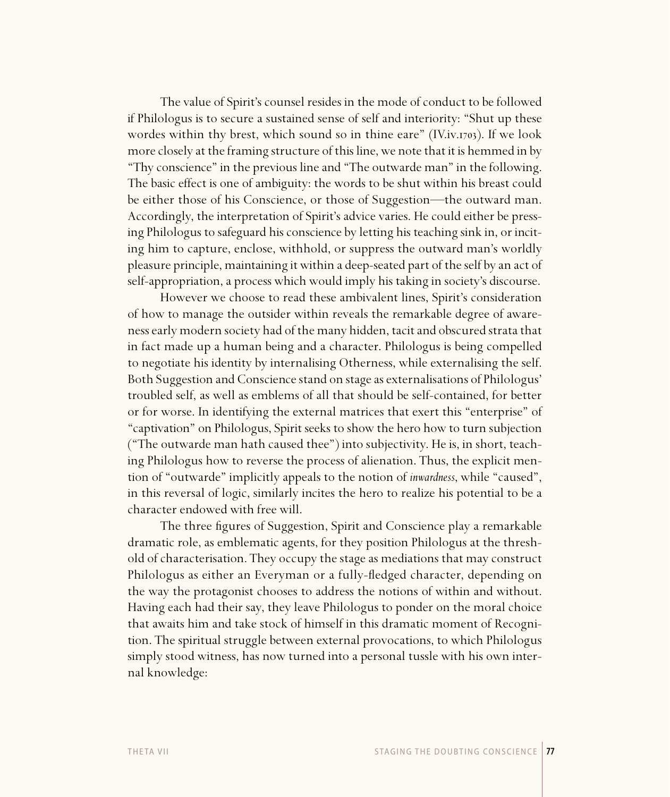The value of Spirit's counsel resides in the mode of conduct to be followed if Philologus is to secure a sustained sense of self and interiority: "Shut up these wordes within thy brest, which sound so in thine eare" (IV.iv.1703). If we look more closely at the framing structure of this line, we note that it is hemmed in by "Thy conscience" in the previous line and "The outwarde man" in the following. The basic effect is one of ambiguity: the words to be shut within his breast could be either those of his Conscience, or those of Suggestion—the outward man. Accordingly, the interpretation of Spirit's advice varies. He could either be pressing Philologus to safeguard his conscience by letting his teaching sink in, or inciting him to capture, enclose, withhold, or suppress the outward man's worldly pleasure principle, maintaining it within a deep-seated part of the self by an act of self-appropriation, a process which would imply his taking in society's discourse.

However we choose to read these ambivalent lines, Spirit's consideration of how to manage the outsider within reveals the remarkable degree of awareness early modern society had of the many hidden, tacit and obscured strata that in fact made up a human being and a character. Philologus is being compelled to negotiate his identity by internalising Otherness, while externalising the self. Both Suggestion and Conscience stand on stage as externalisations of Philologus' troubled self, as well as emblems of all that should be self-contained, for better or for worse. In identifying the external matrices that exert this "enterprise" of "captivation" on Philologus, Spirit seeks to show the hero how to turn subjection ("The outwarde man hath caused thee") into subjectivity. He is, in short, teaching Philologus how to reverse the process of alienation. Thus, the explicit mention of "outwarde" implicitly appeals to the notion of *inwardness*, while "caused", in this reversal of logic, similarly incites the hero to realize his potential to be a character endowed with free will.

The three figures of Suggestion, Spirit and Conscience play a remarkable dramatic role, as emblematic agents, for they position Philologus at the threshold of characterisation. They occupy the stage as mediations that may construct Philologus as either an Everyman or a fully-fledged character, depending on the way the protagonist chooses to address the notions of within and without. Having each had their say, they leave Philologus to ponder on the moral choice that awaits him and take stock of himself in this dramatic moment of Recognition. The spiritual struggle between external provocations, to which Philologus simply stood witness, has now turned into a personal tussle with his own internal knowledge: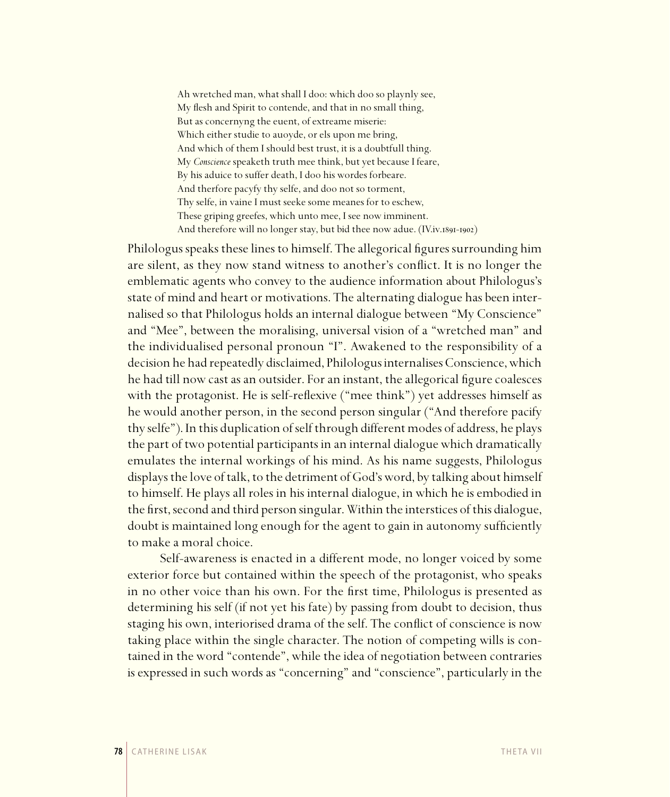Ah wretched man, what shall I doo: which doo so playnly see, My flesh and Spirit to contende, and that in no small thing, But as concernyng the euent, of extreame miserie: Which either studie to auoyde, or els upon me bring, And which of them I should best trust, it is a doubtfull thing. My *Conscience* speaketh truth mee think, but yet because I feare, By his aduice to suffer death, I doo his wordes forbeare. And therfore pacyfy thy selfe, and doo not so torment, Thy selfe, in vaine I must seeke some meanes for to eschew, These griping greefes, which unto mee, I see now imminent. And therefore will no longer stay, but bid thee now adue. (IV.iv.1891-1902)

Philologus speaks these lines to himself. The allegorical figures surrounding him are silent, as they now stand witness to another's conflict. It is no longer the emblematic agents who convey to the audience information about Philologus's state of mind and heart or motivations. The alternating dialogue has been internalised so that Philologus holds an internal dialogue between "My Conscience" and "Mee", between the moralising, universal vision of a "wretched man" and the individualised personal pronoun "I". Awakened to the responsibility of a decision he had repeatedly disclaimed, Philologus internalises Conscience, which he had till now cast as an outsider. For an instant, the allegorical figure coalesces with the protagonist. He is self-reflexive ("mee think") yet addresses himself as he would another person, in the second person singular ("And therefore pacify thy selfe"). In this duplication of self through different modes of address, he plays the part of two potential participants in an internal dialogue which dramatically emulates the internal workings of his mind. As his name suggests, Philologus displays the love of talk, to the detriment of God's word, by talking about himself to himself. He plays all roles in his internal dialogue, in which he is embodied in the first, second and third person singular. Within the interstices of this dialogue, doubt is maintained long enough for the agent to gain in autonomy sufficiently to make a moral choice.

Self-awareness is enacted in a different mode, no longer voiced by some exterior force but contained within the speech of the protagonist, who speaks in no other voice than his own. For the first time, Philologus is presented as determining his self (if not yet his fate) by passing from doubt to decision, thus staging his own, interiorised drama of the self. The conflict of conscience is now taking place within the single character. The notion of competing wills is contained in the word "contende", while the idea of negotiation between contraries is expressed in such words as "concerning" and "conscience", particularly in the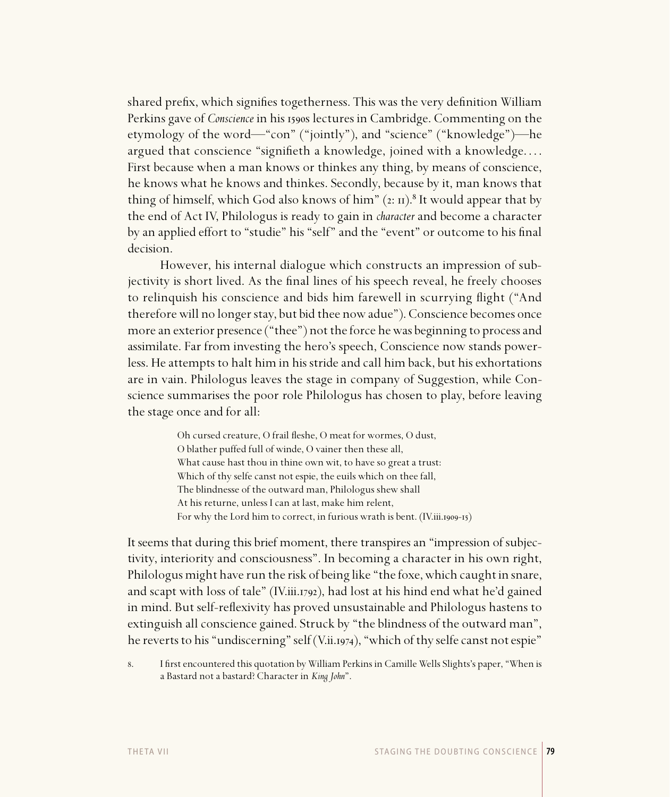shared prefix, which signifies togetherness. This was the very definition William Perkins gave of *Conscience* in his 1590s lectures in Cambridge. Commenting on the etymology of the word—"con" ("jointly"), and "science" ("knowledge")—he argued that conscience "signifieth a knowledge, joined with a knowledge.... First because when a man knows or thinkes any thing, by means of conscience, he knows what he knows and thinkes. Secondly, because by it, man knows that thing of himself, which God also knows of him"  $(z: u)$ .<sup>8</sup> It would appear that by the end of Act IV, Philologus is ready to gain in *character* and become a character by an applied effort to "studie" his "self" and the "event" or outcome to his final decision.

However, his internal dialogue which constructs an impression of subjectivity is short lived. As the final lines of his speech reveal, he freely chooses to relinquish his conscience and bids him farewell in scurrying flight ("And therefore will no longer stay, but bid thee now adue"). Conscience becomes once more an exterior presence ("thee") not the force he was beginning to process and assimilate. Far from investing the hero's speech, Conscience now stands powerless. He attempts to halt him in his stride and call him back, but his exhortations are in vain. Philologus leaves the stage in company of Suggestion, while Conscience summarises the poor role Philologus has chosen to play, before leaving the stage once and for all:

> Oh cursed creature, O frail fleshe, O meat for wormes, O dust, O blather puffed full of winde, O vainer then these all, What cause hast thou in thine own wit, to have so great a trust: Which of thy selfe canst not espie, the euils which on thee fall, The blindnesse of the outward man, Philologus shew shall At his returne, unless I can at last, make him relent, For why the Lord him to correct, in furious wrath is bent. (IV.iii.1909-15)

It seems that during this brief moment, there transpires an "impression of subjectivity, interiority and consciousness". In becoming a character in his own right, Philologus might have run the risk of being like "the foxe, which caught in snare, and scapt with loss of tale" (IV.iii.1792), had lost at his hind end what he'd gained in mind. But self-reflexivity has proved unsustainable and Philologus hastens to extinguish all conscience gained. Struck by "the blindness of the outward man", he reverts to his "undiscerning" self (V.ii.1974), "which of thy selfe canst not espie"

8. I first encountered this quotation by William Perkins in Camille Wells Slights's paper, "When is a Bastard not a bastard? Character in *King John*".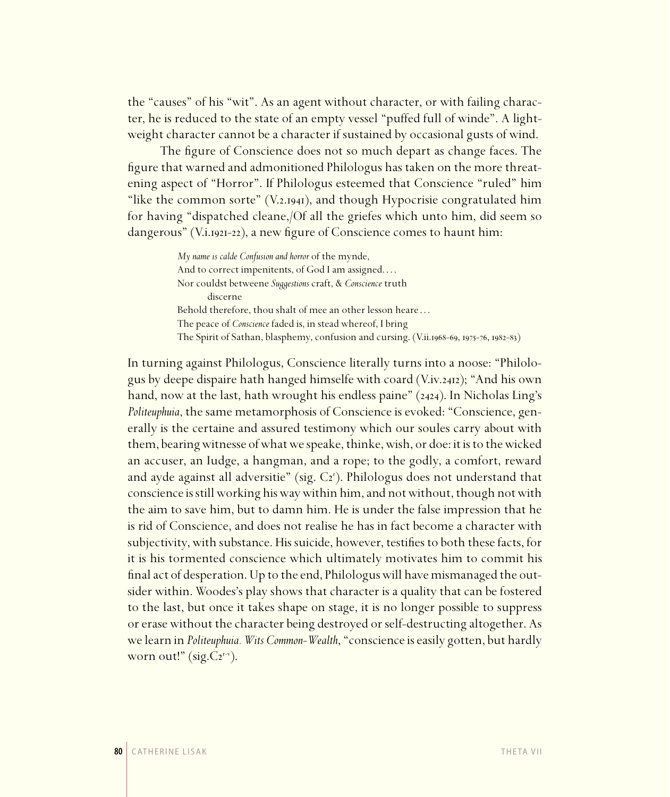the "causes" of his "wit". As an agent without character, or with failing character, he is reduced to the state of an empty vessel "puffed full of winde". A lightweight character cannot be a character if sustained by occasional gusts of wind.

The figure of Conscience does not so much depart as change faces. The figure that warned and admonitioned Philologus has taken on the more threatening aspect of "Horror". If Philologus esteemed that Conscience "ruled" him "like the common sorte" (V.2.1941), and though Hypocrisie congratulated him for having "dispatched cleane,/Of all the griefes which unto him, did seem so dangerous" (V.i.1921-22), a new figure of Conscience comes to haunt him:

> *My name is calde Confusion and horror* of the mynde, And to correct impenitents, of God I am assigned.... Nor couldst betweene *Suggestions* craft, & *Conscience* truth discerne Behold therefore, thou shalt of mee an other lesson heare . . . The peace of *Conscience* faded is, in stead whereof, I bring The Spirit of Sathan, blasphemy, confusion and cursing. (V.ii.1968-69, 1975-76, 1982-83)

In turning against Philologus, Conscience literally turns into a noose: "Philologus by deepe dispaire hath hanged himselfe with coard (V.iv.2412); "And his own hand, now at the last, hath wrought his endless paine"  $(2424)$ . In Nicholas Ling's *Politeuphuia*, the same metamorphosis of Conscience is evoked: "Conscience, generally is the certaine and assured testimony which our soules carry about with them, bearing witnesse of what we speake, thinke, wish, or doe: it is to the wicked an accuser, an Iudge, a hangman, and a rope; to the godly, a comfort, reward and ayde against all adversitie" (sig. C2'). Philologus does not understand that conscience is still working his way within him, and not without, though not with the aim to save him, but to damn him. He is under the false impression that he is rid of Conscience, and does not realise he has in fact become a character with subjectivity, with substance. His suicide, however, testifies to both these facts, for it is his tormented conscience which ultimately motivates him to commit his final act of desperation. Up to the end, Philologus will have mismanaged the outsider within. Woodes's play shows that character is a quality that can be fostered to the last, but once it takes shape on stage, it is no longer possible to suppress or erase without the character being destroyed or self-destructing altogether. As we learn in *Politeuphuia. Wits Common-Wealth*, "conscience is easily gotten, but hardly worn out!" (sig. $C_2^{\mathbf{r}-\mathbf{v}}$ ).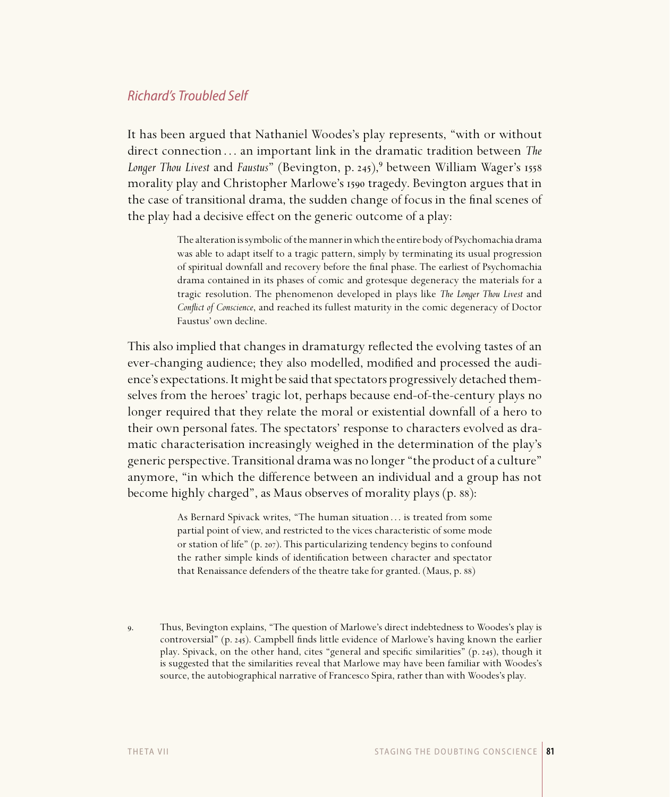# Richard's Troubled Self

It has been argued that Nathaniel Woodes's play represents, "with or without direct connection . . . an important link in the dramatic tradition between *The Longer Thou Livest* and *Faustus*" (Bevington, p. 245),<sup>9</sup> between William Wager's 1558 morality play and Christopher Marlowe's tragedy. Bevington argues that in the case of transitional drama, the sudden change of focus in the final scenes of the play had a decisive effect on the generic outcome of a play:

> The alteration is symbolic of the manner in which the entire body of Psychomachia drama was able to adapt itself to a tragic pattern, simply by terminating its usual progression of spiritual downfall and recovery before the final phase. The earliest of Psychomachia drama contained in its phases of comic and grotesque degeneracy the materials for a tragic resolution. The phenomenon developed in plays like *The Longer Thou Livest* and *Conflict of Conscience*, and reached its fullest maturity in the comic degeneracy of Doctor Faustus' own decline.

This also implied that changes in dramaturgy reflected the evolving tastes of an ever-changing audience; they also modelled, modified and processed the audience's expectations. It might be said that spectators progressively detached themselves from the heroes' tragic lot, perhaps because end-of-the-century plays no longer required that they relate the moral or existential downfall of a hero to their own personal fates. The spectators' response to characters evolved as dramatic characterisation increasingly weighed in the determination of the play's generic perspective. Transitional drama was no longer "the product of a culture" anymore, "in which the difference between an individual and a group has not become highly charged", as Maus observes of morality plays (p. 88):

> As Bernard Spivack writes, "The human situation ... is treated from some partial point of view, and restricted to the vices characteristic of some mode or station of life" (p. 207). This particularizing tendency begins to confound the rather simple kinds of identification between character and spectator that Renaissance defenders of the theatre take for granted. (Maus, p. 88)

. Thus, Bevington explains, "The question of Marlowe's direct indebtedness to Woodes's play is controversial" (p. 245). Campbell finds little evidence of Marlowe's having known the earlier play. Spivack, on the other hand, cites "general and specific similarities" (p. 245), though it is suggested that the similarities reveal that Marlowe may have been familiar with Woodes's source, the autobiographical narrative of Francesco Spira, rather than with Woodes's play.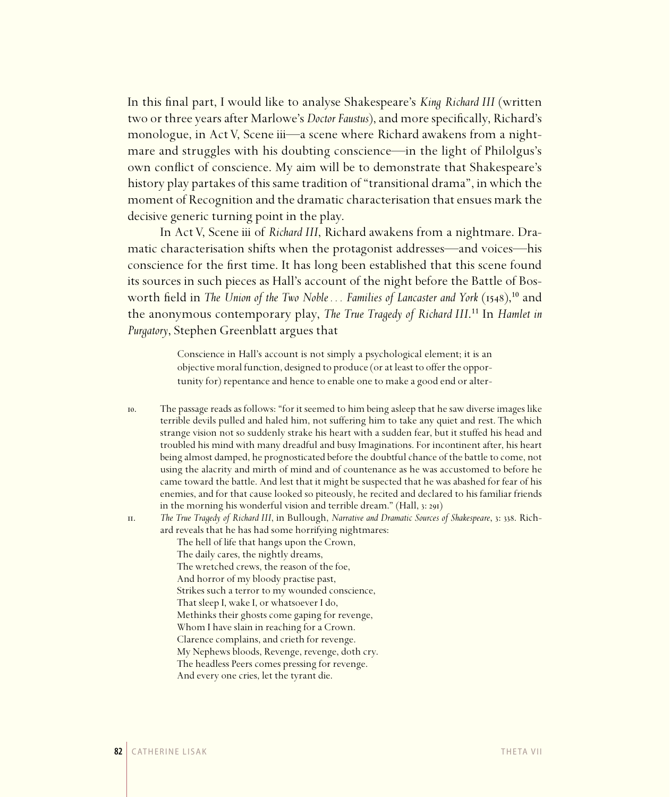In this final part, I would like to analyse Shakespeare's *King Richard III* (written two or three years after Marlowe's *Doctor Faustus*), and more specifically, Richard's monologue, in Act V, Scene iii—a scene where Richard awakens from a nightmare and struggles with his doubting conscience—in the light of Philolgus's own conflict of conscience. My aim will be to demonstrate that Shakespeare's history play partakes of this same tradition of "transitional drama", in which the moment of Recognition and the dramatic characterisation that ensues mark the decisive generic turning point in the play.

In Act V, Scene iii of *Richard III*, Richard awakens from a nightmare. Dramatic characterisation shifts when the protagonist addresses—and voices—his conscience for the first time. It has long been established that this scene found its sources in such pieces as Hall's account of the night before the Battle of Bosworth field in *The Union of the Two Noble... Families of Lancaster and York* (1548),<sup>10</sup> and the anonymous contemporary play, *The True Tragedy of Richard III*.<sup>11</sup> In *Hamlet in Purgatory*, Stephen Greenblatt argues that

> Conscience in Hall's account is not simply a psychological element; it is an objective moral function, designed to produce (or at least to offer the opportunity for) repentance and hence to enable one to make a good end or alter-

- . The passage reads as follows: "for it seemed to him being asleep that he saw diverse images like terrible devils pulled and haled him, not suffering him to take any quiet and rest. The which strange vision not so suddenly strake his heart with a sudden fear, but it stuffed his head and troubled his mind with many dreadful and busy Imaginations. For incontinent after, his heart being almost damped, he prognosticated before the doubtful chance of the battle to come, not using the alacrity and mirth of mind and of countenance as he was accustomed to before he came toward the battle. And lest that it might be suspected that he was abashed for fear of his enemies, and for that cause looked so piteously, he recited and declared to his familiar friends in the morning his wonderful vision and terrible dream." (Hall,  $3:29I$ )
- 

. *The True Tragedy of Richard III*, in Bullough, *Narrative and Dramatic Sources of Shakespeare*, : . Richard reveals that he has had some horrifying nightmares:

- The hell of life that hangs upon the Crown, The daily cares, the nightly dreams, The wretched crews, the reason of the foe, And horror of my bloody practise past, Strikes such a terror to my wounded conscience, That sleep I, wake I, or whatsoever I do, Methinks their ghosts come gaping for revenge, Whom I have slain in reaching for a Crown. Clarence complains, and crieth for revenge. My Nephews bloods, Revenge, revenge, doth cry. The headless Peers comes pressing for revenge.
- And every one cries, let the tyrant die.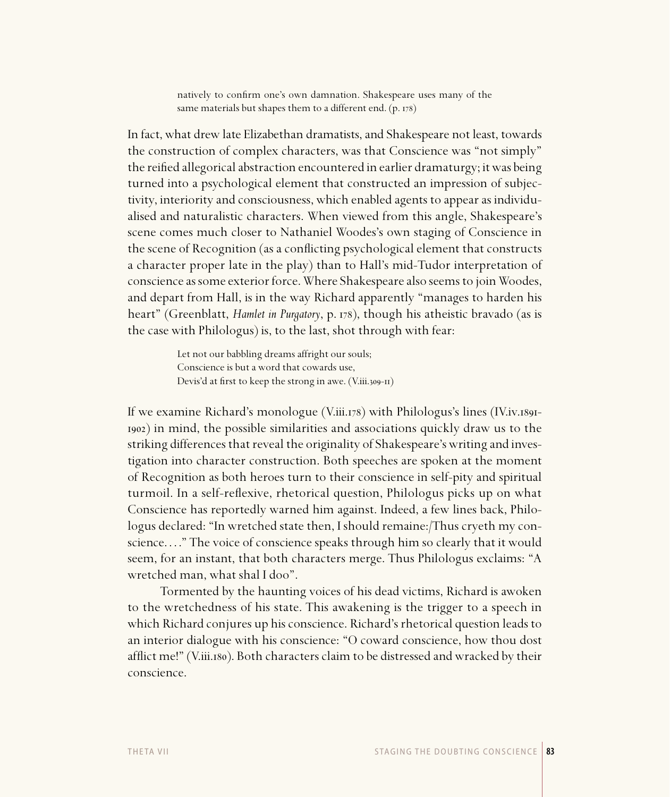natively to confirm one's own damnation. Shakespeare uses many of the same materials but shapes them to a different end.  $(p. 178)$ 

In fact, what drew late Elizabethan dramatists, and Shakespeare not least, towards the construction of complex characters, was that Conscience was "not simply" the reified allegorical abstraction encountered in earlier dramaturgy; it was being turned into a psychological element that constructed an impression of subjectivity, interiority and consciousness, which enabled agents to appear as individualised and naturalistic characters. When viewed from this angle, Shakespeare's scene comes much closer to Nathaniel Woodes's own staging of Conscience in the scene of Recognition (as a conflicting psychological element that constructs a character proper late in the play) than to Hall's mid-Tudor interpretation of conscience as some exterior force. Where Shakespeare also seems to join Woodes, and depart from Hall, is in the way Richard apparently "manages to harden his heart" (Greenblatt, *Hamlet in Purgatory*, p. 178), though his atheistic bravado (as is the case with Philologus) is, to the last, shot through with fear:

> Let not our babbling dreams affright our souls; Conscience is but a word that cowards use, Devis'd at first to keep the strong in awe. (V.iii.309-II)

If we examine Richard's monologue (V.iii.178) with Philologus's lines (IV.iv.1891-) in mind, the possible similarities and associations quickly draw us to the striking differences that reveal the originality of Shakespeare's writing and investigation into character construction. Both speeches are spoken at the moment of Recognition as both heroes turn to their conscience in self-pity and spiritual turmoil. In a self-reflexive, rhetorical question, Philologus picks up on what Conscience has reportedly warned him against. Indeed, a few lines back, Philologus declared: "In wretched state then, I should remaine:/Thus cryeth my conscience. . . ." The voice of conscience speaks through him so clearly that it would seem, for an instant, that both characters merge. Thus Philologus exclaims: "A wretched man, what shal I doo".

Tormented by the haunting voices of his dead victims, Richard is awoken to the wretchedness of his state. This awakening is the trigger to a speech in which Richard conjures up his conscience. Richard's rhetorical question leads to an interior dialogue with his conscience: "O coward conscience, how thou dost afflict me!" (V.iii.180). Both characters claim to be distressed and wracked by their conscience.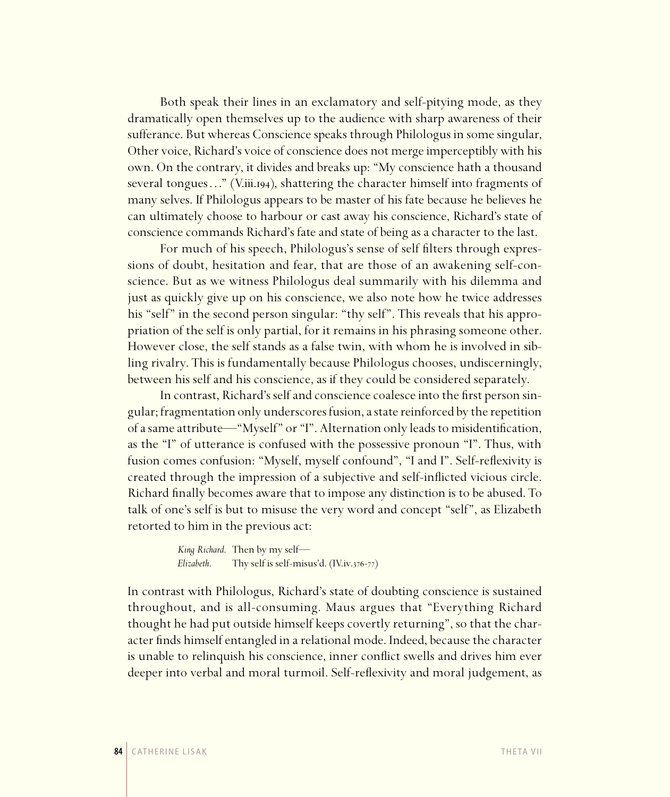Both speak their lines in an exclamatory and self-pitying mode, as they dramatically open themselves up to the audience with sharp awareness of their sufferance. But whereas Conscience speaks through Philologus in some singular, Other voice, Richard's voice of conscience does not merge imperceptibly with his own. On the contrary, it divides and breaks up: "My conscience hath a thousand several tongues . . . " (V.iii.194), shattering the character himself into fragments of many selves. If Philologus appears to be master of his fate because he believes he can ultimately choose to harbour or cast away his conscience, Richard's state of conscience commands Richard's fate and state of being as a character to the last.

For much of his speech, Philologus's sense of self filters through expressions of doubt, hesitation and fear, that are those of an awakening self-conscience. But as we witness Philologus deal summarily with his dilemma and just as quickly give up on his conscience, we also note how he twice addresses his "self" in the second person singular: "thy self". This reveals that his appropriation of the self is only partial, for it remains in his phrasing someone other. However close, the self stands as a false twin, with whom he is involved in sibling rivalry. This is fundamentally because Philologus chooses, undiscerningly, between his self and his conscience, as if they could be considered separately.

In contrast, Richard's self and conscience coalesce into the first person singular; fragmentation only underscores fusion, a state reinforced by the repetition of a same attribute—"Myself" or "I". Alternation only leads to misidentification, as the "I" of utterance is confused with the possessive pronoun "I". Thus, with fusion comes confusion: "Myself, myself confound", "I and I". Self-reflexivity is created through the impression of a subjective and self-inflicted vicious circle. Richard finally becomes aware that to impose any distinction is to be abused. To talk of one's self is but to misuse the very word and concept "self", as Elizabeth retorted to him in the previous act:

```
King Richard. Then by my self—
Elizabeth. Thy self is self-misus'd. (IV.iv.376-77)
```
In contrast with Philologus, Richard's state of doubting conscience is sustained throughout, and is all-consuming. Maus argues that "Everything Richard thought he had put outside himself keeps covertly returning", so that the character finds himself entangled in a relational mode. Indeed, because the character is unable to relinquish his conscience, inner conflict swells and drives him ever deeper into verbal and moral turmoil. Self-reflexivity and moral judgement, as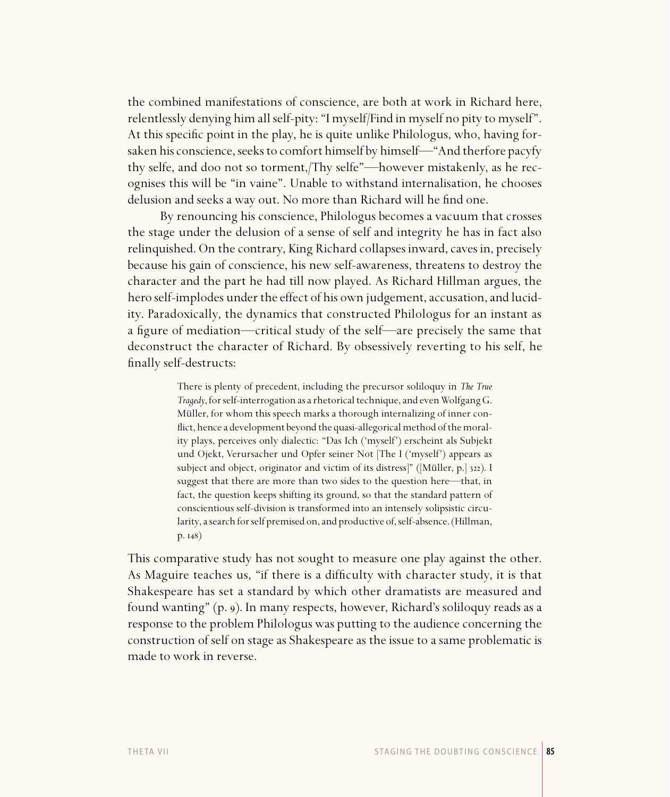the combined manifestations of conscience, are both at work in Richard here, relentlessly denying him all self-pity: "I myself/Find in myself no pity to myself". At this specific point in the play, he is quite unlike Philologus, who, having forsaken his conscience, seeks to comfort himself by himself—"And therfore pacyfy thy selfe, and doo not so torment,/Thy selfe"—however mistakenly, as he recognises this will be "in vaine". Unable to withstand internalisation, he chooses delusion and seeks a way out. No more than Richard will he find one.

By renouncing his conscience, Philologus becomes a vacuum that crosses the stage under the delusion of a sense of self and integrity he has in fact also relinquished. On the contrary, King Richard collapses inward, caves in, precisely because his gain of conscience, his new self-awareness, threatens to destroy the character and the part he had till now played. As Richard Hillman argues, the hero self-implodes under the effect of his own judgement, accusation, and lucidity. Paradoxically, the dynamics that constructed Philologus for an instant as a figure of mediation—critical study of the self—are precisely the same that deconstruct the character of Richard. By obsessively reverting to his self, he finally self-destructs:

> There is plenty of precedent, including the precursor soliloquy in *The True Tragedy*, for self-interrogation as a rhetorical technique, and even Wolfgang G. Müller, for whom this speech marks a thorough internalizing of inner conflict, hence a development beyond the quasi-allegorical method of the morality plays, perceives only dialectic: "Das Ich ('myself') erscheint als Subjekt und Ojekt, Verursacher und Opfer seiner Not [The I ('myself') appears as subject and object, originator and victim of its distress<sup>]</sup>" ([Müller, p.] 322). I suggest that there are more than two sides to the question here—that, in fact, the question keeps shifting its ground, so that the standard pattern of conscientious self-division is transformed into an intensely solipsistic circularity, a search for self premised on, and productive of, self-absence. (Hillman,  $p. 148)$

This comparative study has not sought to measure one play against the other. As Maguire teaches us, "if there is a difficulty with character study, it is that Shakespeare has set a standard by which other dramatists are measured and found wanting" (p. 9). In many respects, however, Richard's soliloquy reads as a response to the problem Philologus was putting to the audience concerning the construction of self on stage as Shakespeare as the issue to a same problematic is made to work in reverse.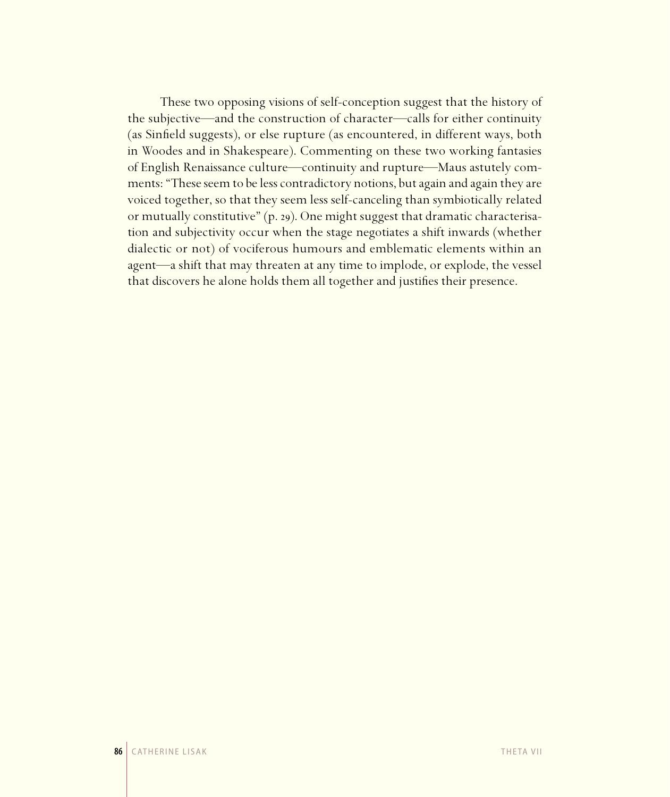These two opposing visions of self-conception suggest that the history of the subjective—and the construction of character—calls for either continuity (as Sinfield suggests), or else rupture (as encountered, in different ways, both in Woodes and in Shakespeare). Commenting on these two working fantasies of English Renaissance culture—continuity and rupture—Maus astutely comments: "These seem to be less contradictory notions, but again and again they are voiced together, so that they seem less self-canceling than symbiotically related or mutually constitutive" (p. 29). One might suggest that dramatic characterisation and subjectivity occur when the stage negotiates a shift inwards (whether dialectic or not) of vociferous humours and emblematic elements within an agent—a shift that may threaten at any time to implode, or explode, the vessel that discovers he alone holds them all together and justifies their presence.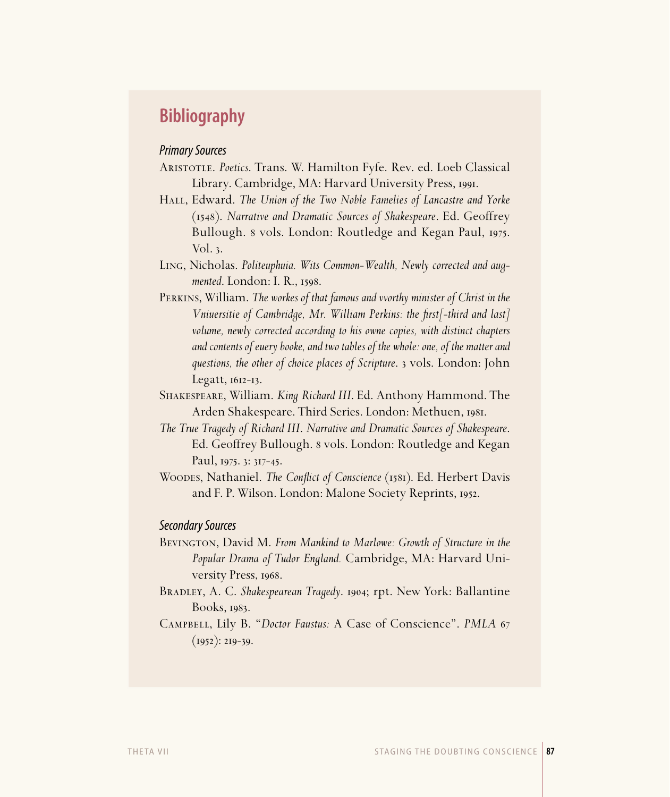# **Bibliography**

#### Primary Sources

- Aristotle. *Poetics*. Trans. W. Hamilton Fyfe. Rev. ed. Loeb Classical Library. Cambridge, MA: Harvard University Press, 1991.
- Hall, Edward. *The Union of the Two Noble Famelies of Lancastre and Yorke* (). *Narrative and Dramatic Sources of Shakespeare*. Ed. Geoffrey Bullough. 8 vols. London: Routledge and Kegan Paul, 1975. Vol.  $3$ .
- Ling, Nicholas. *Politeuphuia. Wits Common-Wealth, Newly corrected and augmented.* London: I. R., 1598.
- Perkins, William. *The workes of that famous and vvorthy minister of Christ in the Vniuersitie of Cambridge, Mr. William Perkins: the first[-third and last] volume, newly corrected according to his owne copies, with distinct chapters and contents of euery booke, and two tables of the whole: one, of the matter and questions, the other of choice places of Scripture.* 3 vols. London: John  $Legat, 1612-13.$
- Shakespeare, William. *King Richard III*. Ed. Anthony Hammond. The Arden Shakespeare. Third Series. London: Methuen, 1981.
- *The True Tragedy of Richard III*. *Narrative and Dramatic Sources of Shakespeare*. Ed. Geoffrey Bullough. 8 vols. London: Routledge and Kegan Paul, 1975. 3: 317-45.
- WOODES, Nathaniel. *The Conflict of Conscience* (1581). Ed. Herbert Davis and F. P. Wilson. London: Malone Society Reprints, 1952.

#### Secondary Sources

- BEVINGTON, David M. From Mankind to Marlowe: Growth of Structure in the *Popular Drama of Tudor England.* Cambridge, MA: Harvard University Press, 1968.
- BRADLEY, A. C. *Shakespearean Tragedy*. 1904; rpt. New York: Ballantine Books,  $1983$ .
- Campbell, Lily B. "*Doctor Faustus:* A Case of Conscience". *PMLA*  $(1952): 219-39.$